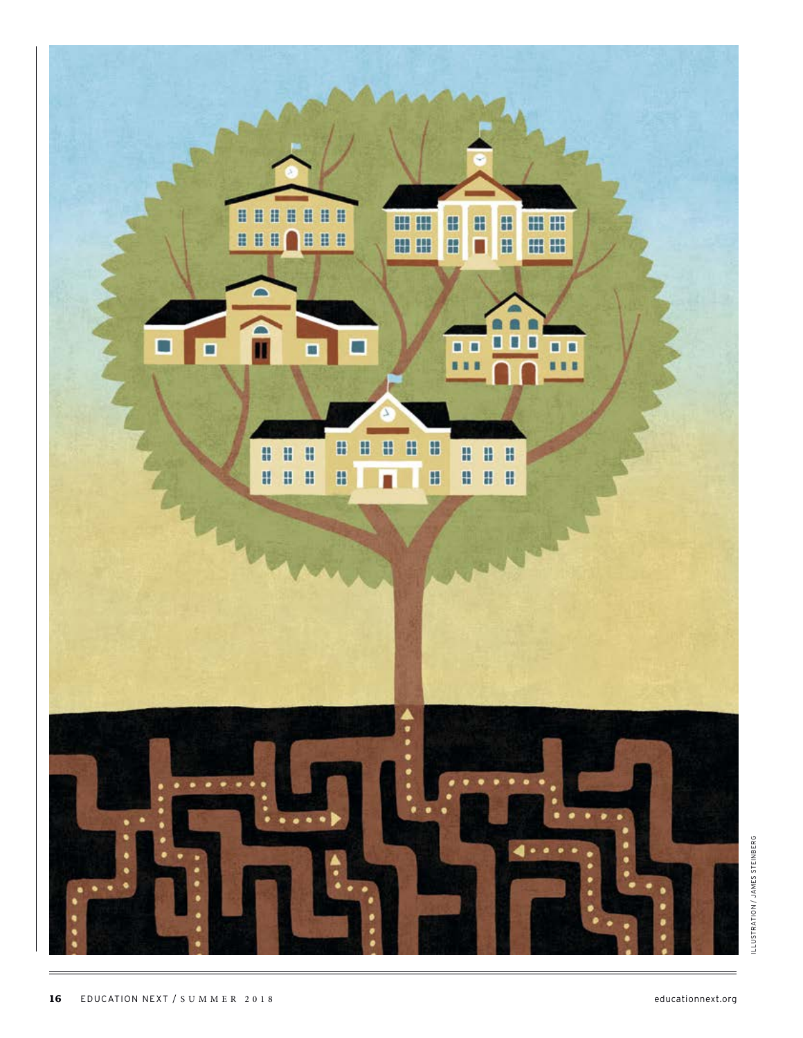

ILLUSTRATION/JAMES STEINBERG ILLUSTRATION / JAMES STEINBERG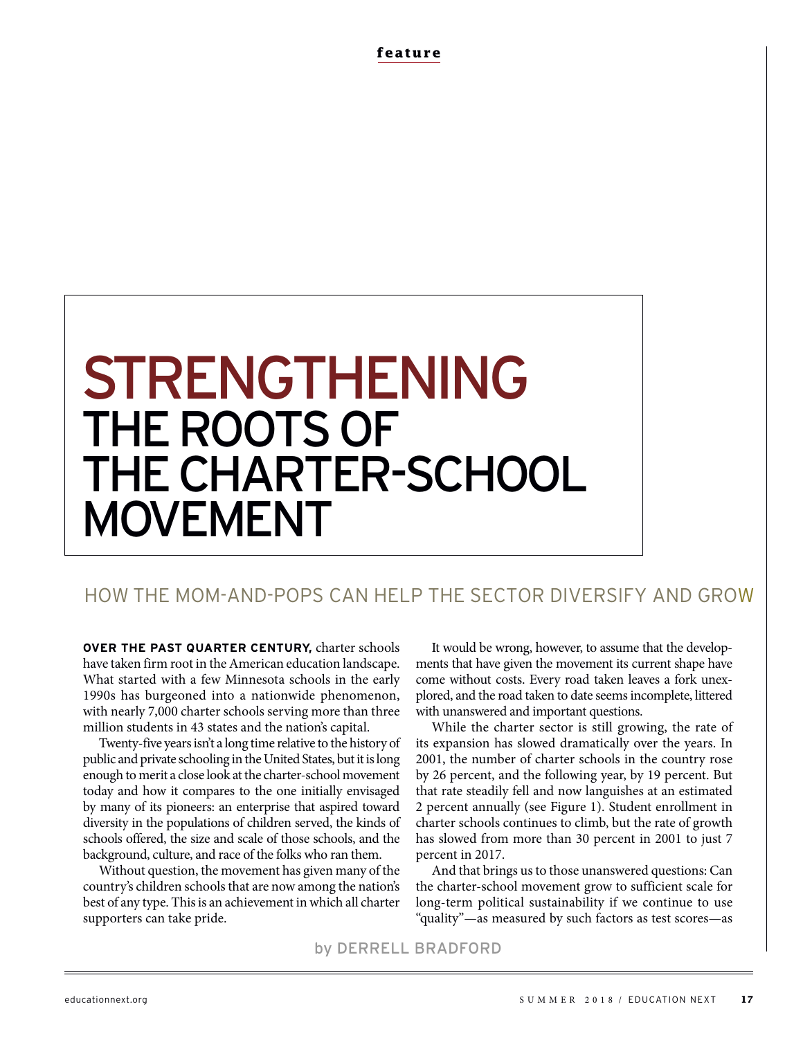**feature**

# THE ROOTS OF THE CHARTER-SCHOOL MOVEMENT STRENGTHENING

# HOW THE MOM-AND-POPS CAN HELP THE SECTOR DIVERSIFY AND GROW

**OVER THE PAST QUARTER CENTURY,** charter schools have taken firm root in the American education landscape. What started with a few Minnesota schools in the early 1990s has burgeoned into a nationwide phenomenon, with nearly 7,000 charter schools serving more than three million students in 43 states and the nation's capital.

Twenty-five years isn't a long time relative to the history of public and private schooling in the United States, but it is long enough to merit a close look at the charter-school movement today and how it compares to the one initially envisaged by many of its pioneers: an enterprise that aspired toward diversity in the populations of children served, the kinds of schools offered, the size and scale of those schools, and the background, culture, and race of the folks who ran them.

Without question, the movement has given many of the country's children schools that are now among the nation's best of any type. This is an achievement in which all charter supporters can take pride.

It would be wrong, however, to assume that the developments that have given the movement its current shape have come without costs. Every road taken leaves a fork unexplored, and the road taken to date seems incomplete, littered with unanswered and important questions.

While the charter sector is still growing, the rate of its expansion has slowed dramatically over the years. In 2001, the number of charter schools in the country rose by 26 percent, and the following year, by 19 percent. But that rate steadily fell and now languishes at an estimated 2 percent annually (see Figure 1). Student enrollment in charter schools continues to climb, but the rate of growth has slowed from more than 30 percent in 2001 to just 7 percent in 2017.

And that brings us to those unanswered questions: Can the charter-school movement grow to sufficient scale for long-term political sustainability if we continue to use "quality"—as measured by such factors as test scores—as

by DERRELL BRADFORD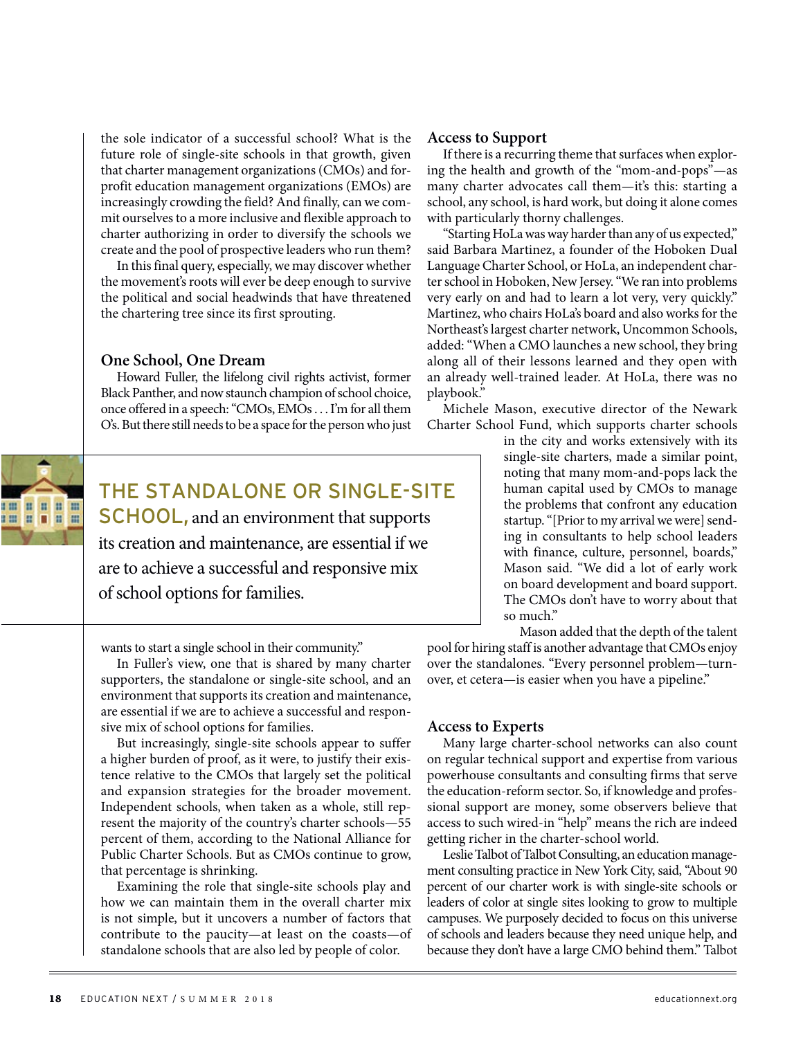the sole indicator of a successful school? What is the future role of single-site schools in that growth, given that charter management organizations (CMOs) and forprofit education management organizations (EMOs) are increasingly crowding the field? And finally, can we commit ourselves to a more inclusive and flexible approach to charter authorizing in order to diversify the schools we create and the pool of prospective leaders who run them?

In this final query, especially, we may discover whether the movement's roots will ever be deep enough to survive the political and social headwinds that have threatened the chartering tree since its first sprouting.

#### **One School, One Dream**

Howard Fuller, the lifelong civil rights activist, former Black Panther, and now staunch champion of school choice, once offered in a speech: "CMOs, EMOs . . . I'm for all them O's. But there still needs to be a space for the person who just



THE STANDALONE OR SINGLE-SITE

SCHOOL, and an environment that supports its creation and maintenance, are essential if we are to achieve a successful and responsive mix of school options for families.

**Access to Support**

If there is a recurring theme that surfaces when exploring the health and growth of the "mom-and-pops"—as many charter advocates call them—it's this: starting a school, any school, is hard work, but doing it alone comes with particularly thorny challenges.

"Starting HoLa was way harder than any of us expected," said Barbara Martinez, a founder of the Hoboken Dual Language Charter School, or HoLa, an independent charter school in Hoboken, New Jersey. "We ran into problems very early on and had to learn a lot very, very quickly." Martinez, who chairs HoLa's board and also works for the Northeast's largest charter network, Uncommon Schools, added: "When a CMO launches a new school, they bring along all of their lessons learned and they open with an already well-trained leader. At HoLa, there was no playbook."

Michele Mason, executive director of the Newark Charter School Fund, which supports charter schools

> in the city and works extensively with its single-site charters, made a similar point, noting that many mom-and-pops lack the human capital used by CMOs to manage the problems that confront any education startup. "[Prior to my arrival we were] sending in consultants to help school leaders with finance, culture, personnel, boards," Mason said. "We did a lot of early work on board development and board support. The CMOs don't have to worry about that so much."

Mason added that the depth of the talent pool for hiring staff is another advantage that CMOs enjoy over the standalones. "Every personnel problem—turnover, et cetera—is easier when you have a pipeline."

wants to start a single school in their community."

In Fuller's view, one that is shared by many charter supporters, the standalone or single-site school, and an environment that supports its creation and maintenance, are essential if we are to achieve a successful and responsive mix of school options for families.

But increasingly, single-site schools appear to suffer a higher burden of proof, as it were, to justify their existence relative to the CMOs that largely set the political and expansion strategies for the broader movement. Independent schools, when taken as a whole, still represent the majority of the country's charter schools—55 percent of them, according to the National Alliance for Public Charter Schools. But as CMOs continue to grow, that percentage is shrinking.

Examining the role that single-site schools play and how we can maintain them in the overall charter mix is not simple, but it uncovers a number of factors that contribute to the paucity—at least on the coasts—of standalone schools that are also led by people of color.

**Access to Experts**

Many large charter-school networks can also count on regular technical support and expertise from various powerhouse consultants and consulting firms that serve the education-reform sector. So, if knowledge and professional support are money, some observers believe that access to such wired-in "help" means the rich are indeed getting richer in the charter-school world.

Leslie Talbot of Talbot Consulting, an education management consulting practice in New York City, said, "About 90 percent of our charter work is with single-site schools or leaders of color at single sites looking to grow to multiple campuses. We purposely decided to focus on this universe of schools and leaders because they need unique help, and because they don't have a large CMO behind them." Talbot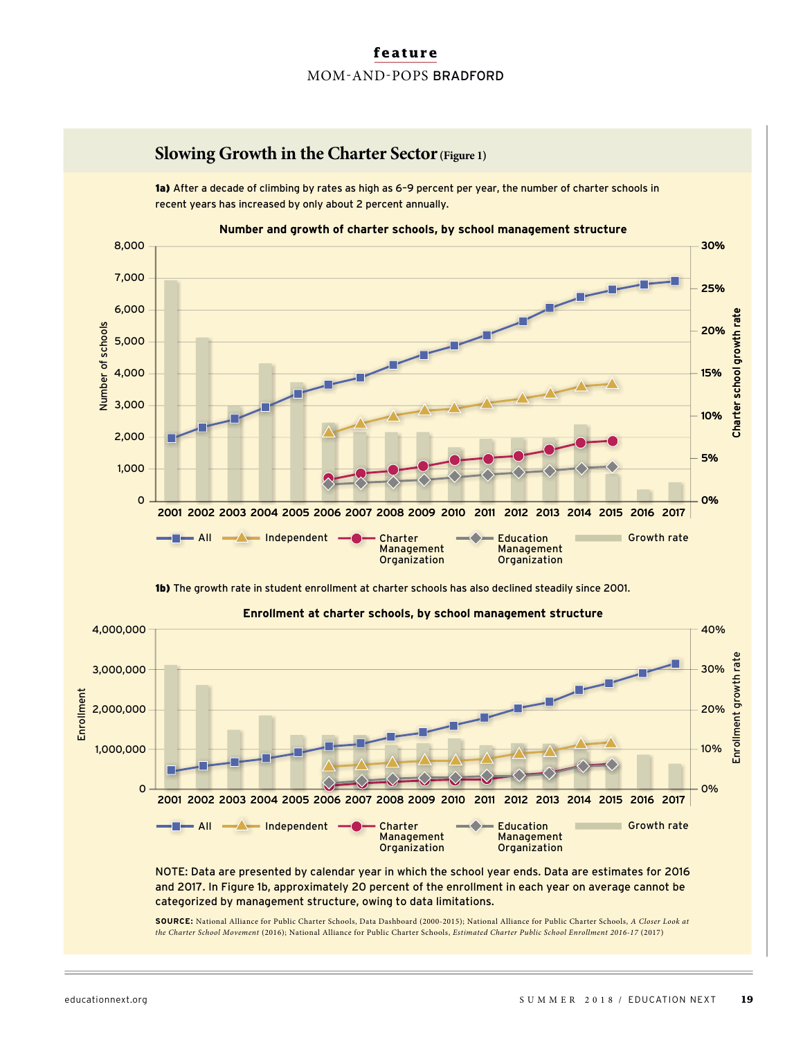# **Slowing Growth in the Charter Sector(Figure 1)**

1a) After a decade of climbing by rates as high as 6-9 percent per year, the number of charter schools in recent years has increased by only about 2 percent annually.



**Number and growth of charter schools, by school management structure**

1b) The growth rate in student enrollment at charter schools has also declined steadily since 2001.

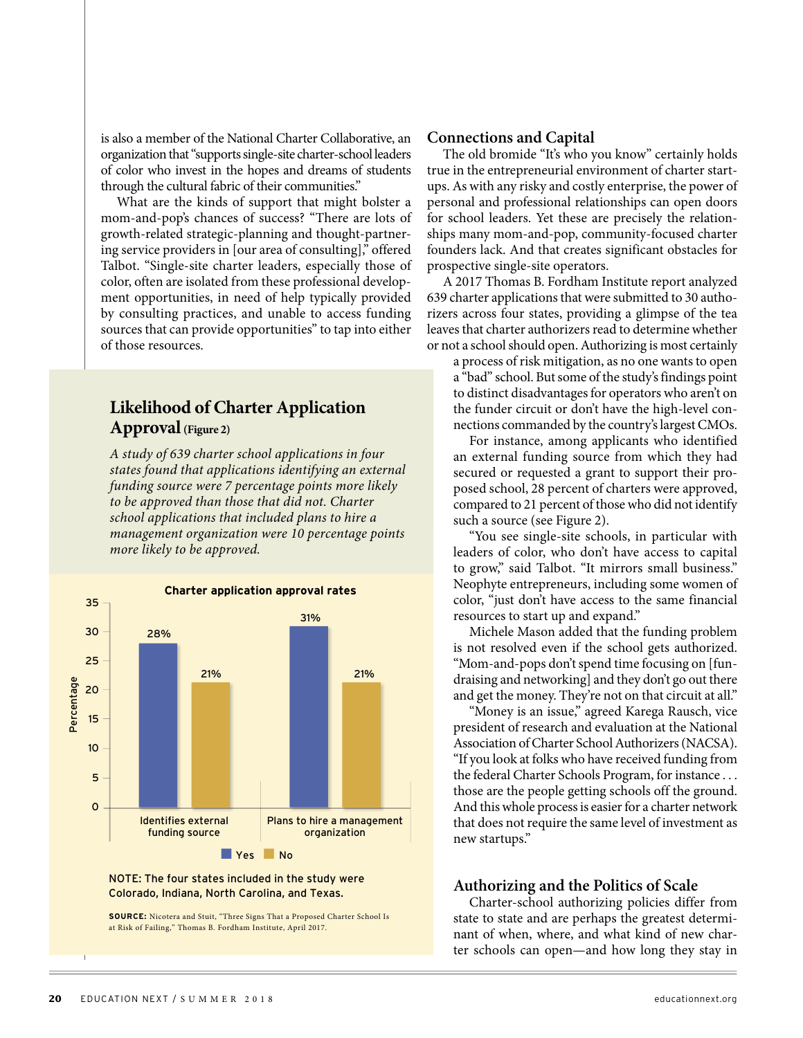is also a member of the National Charter Collaborative, an organization that "supports single-site charter-school leaders of color who invest in the hopes and dreams of students through the cultural fabric of their communities."

What are the kinds of support that might bolster a mom-and-pop's chances of success? "There are lots of growth-related strategic-planning and thought-partnering service providers in [our area of consulting]," offered Talbot. "Single-site charter leaders, especially those of color, often are isolated from these professional development opportunities, in need of help typically provided by consulting practices, and unable to access funding sources that can provide opportunities" to tap into either of those resources.

# **Likelihood of Charter Application Approval (Figure 2)**

*A study of 639 charter school applications in four states found that applications identifying an external funding source were 7 percentage points more likely to be approved than those that did not. Charter school applications that included plans to hire a management organization were 10 percentage points more likely to be approved.*



#### NOTE: The four states included in the study were Colorado, Indiana, North Carolina, and Texas.

**SOURCE:** Nicotera and Stuit, "Three Signs That a Proposed Charter School Is at Risk of Failing," Thomas B. Fordham Institute, April 2017.

#### **Connections and Capital**

The old bromide "It's who you know" certainly holds true in the entrepreneurial environment of charter startups. As with any risky and costly enterprise, the power of personal and professional relationships can open doors for school leaders. Yet these are precisely the relationships many mom-and-pop, community-focused charter founders lack. And that creates significant obstacles for prospective single-site operators.

A 2017 Thomas B. Fordham Institute report analyzed 639 charter applications that were submitted to 30 authorizers across four states, providing a glimpse of the tea leaves that charter authorizers read to determine whether or not a school should open. Authorizing is most certainly

a process of risk mitigation, as no one wants to open a "bad" school. But some of the study's findings point to distinct disadvantages for operators who aren't on the funder circuit or don't have the high-level connections commanded by the country's largest CMOs.

For instance, among applicants who identified an external funding source from which they had secured or requested a grant to support their proposed school, 28 percent of charters were approved, compared to 21 percent of those who did not identify such a source (see Figure 2).

"You see single-site schools, in particular with leaders of color, who don't have access to capital to grow," said Talbot. "It mirrors small business." Neophyte entrepreneurs, including some women of color, "just don't have access to the same financial resources to start up and expand."

Michele Mason added that the funding problem is not resolved even if the school gets authorized. "Mom-and-pops don't spend time focusing on [fundraising and networking] and they don't go out there and get the money. They're not on that circuit at all."

"Money is an issue," agreed Karega Rausch, vice president of research and evaluation at the National Association of Charter School Authorizers (NACSA). "If you look at folks who have received funding from the federal Charter Schools Program, for instance . . . those are the people getting schools off the ground. And this whole process is easier for a charter network that does not require the same level of investment as new startups."

#### **Authorizing and the Politics of Scale**

Charter-school authorizing policies differ from state to state and are perhaps the greatest determinant of when, where, and what kind of new charter schools can open—and how long they stay in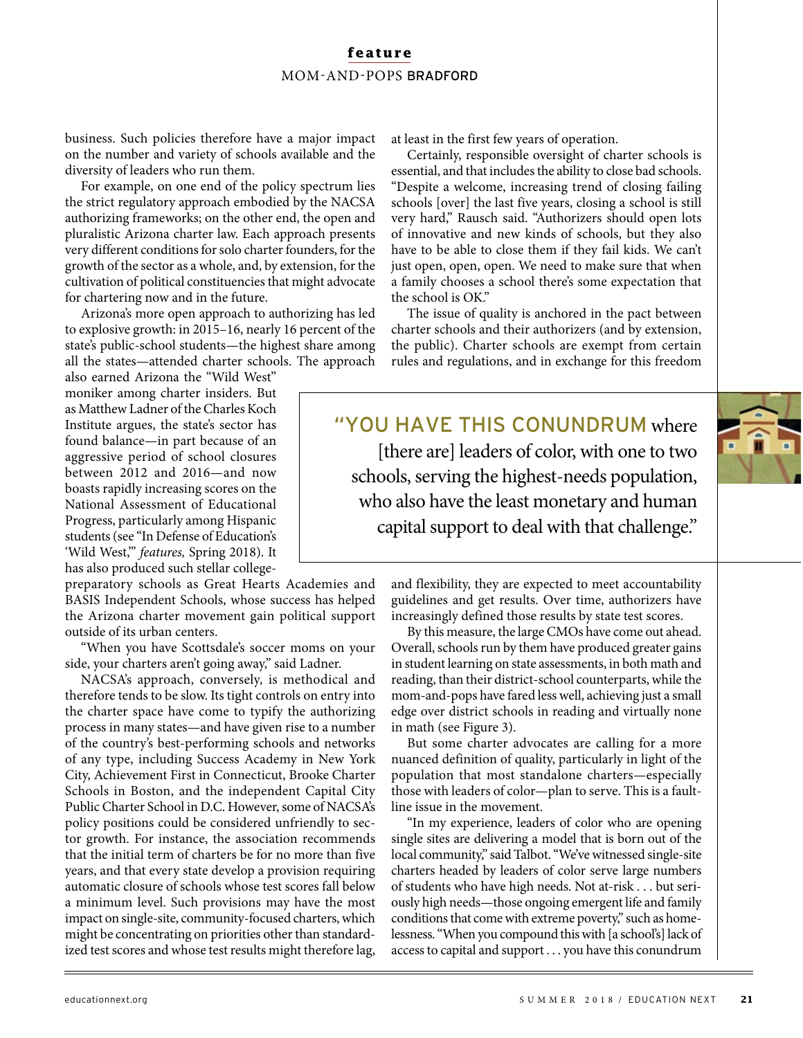business. Such policies therefore have a major impact on the number and variety of schools available and the diversity of leaders who run them.

For example, on one end of the policy spectrum lies the strict regulatory approach embodied by the NACSA authorizing frameworks; on the other end, the open and pluralistic Arizona charter law. Each approach presents very different conditions for solo charter founders, for the growth of the sector as a whole, and, by extension, for the cultivation of political constituencies that might advocate for chartering now and in the future.

Arizona's more open approach to authorizing has led to explosive growth: in 2015–16, nearly 16 percent of the state's public-school students—the highest share among all the states—attended charter schools. The approach

also earned Arizona the "Wild West" moniker among charter insiders. But as Matthew Ladner of the Charles Koch Institute argues, the state's sector has found balance—in part because of an aggressive period of school closures between 2012 and 2016—and now boasts rapidly increasing scores on the National Assessment of Educational Progress, particularly among Hispanic students (see "In Defense of Education's 'Wild West,'" *features,* Spring 2018). It has also produced such stellar college-

preparatory schools as Great Hearts Academies and BASIS Independent Schools, whose success has helped the Arizona charter movement gain political support outside of its urban centers.

"When you have Scottsdale's soccer moms on your side, your charters aren't going away," said Ladner.

NACSA's approach, conversely, is methodical and therefore tends to be slow. Its tight controls on entry into the charter space have come to typify the authorizing process in many states—and have given rise to a number of the country's best-performing schools and networks of any type, including Success Academy in New York City, Achievement First in Connecticut, Brooke Charter Schools in Boston, and the independent Capital City Public Charter School in D.C. However, some of NACSA's policy positions could be considered unfriendly to sector growth. For instance, the association recommends that the initial term of charters be for no more than five years, and that every state develop a provision requiring automatic closure of schools whose test scores fall below a minimum level. Such provisions may have the most impact on single-site, community-focused charters, which might be concentrating on priorities other than standardized test scores and whose test results might therefore lag,

at least in the first few years of operation.

Certainly, responsible oversight of charter schools is essential, and that includes the ability to close bad schools. "Despite a welcome, increasing trend of closing failing schools [over] the last five years, closing a school is still very hard," Rausch said. "Authorizers should open lots of innovative and new kinds of schools, but they also have to be able to close them if they fail kids. We can't just open, open, open. We need to make sure that when a family chooses a school there's some expectation that the school is OK."

The issue of quality is anchored in the pact between charter schools and their authorizers (and by extension, the public). Charter schools are exempt from certain rules and regulations, and in exchange for this freedom

"YOU HAVE THIS CONUNDRUM where [there are] leaders of color, with one to two schools, serving the highest-needs population, who also have the least monetary and human capital support to deal with that challenge."



and flexibility, they are expected to meet accountability guidelines and get results. Over time, authorizers have increasingly defined those results by state test scores.

By this measure, the large CMOs have come out ahead. Overall, schools run by them have produced greater gains in student learning on state assessments, in both math and reading, than their district-school counterparts, while the mom-and-pops have fared less well, achieving just a small edge over district schools in reading and virtually none in math (see Figure 3).

But some charter advocates are calling for a more nuanced definition of quality, particularly in light of the population that most standalone charters—especially those with leaders of color—plan to serve. This is a faultline issue in the movement.

"In my experience, leaders of color who are opening single sites are delivering a model that is born out of the local community," said Talbot."We've witnessed single-site charters headed by leaders of color serve large numbers of students who have high needs. Not at-risk . . . but seriously high needs—those ongoing emergent life and family conditions that come with extreme poverty," such as homelessness. "When you compound this with [a school's] lack of access to capital and support . . . you have this conundrum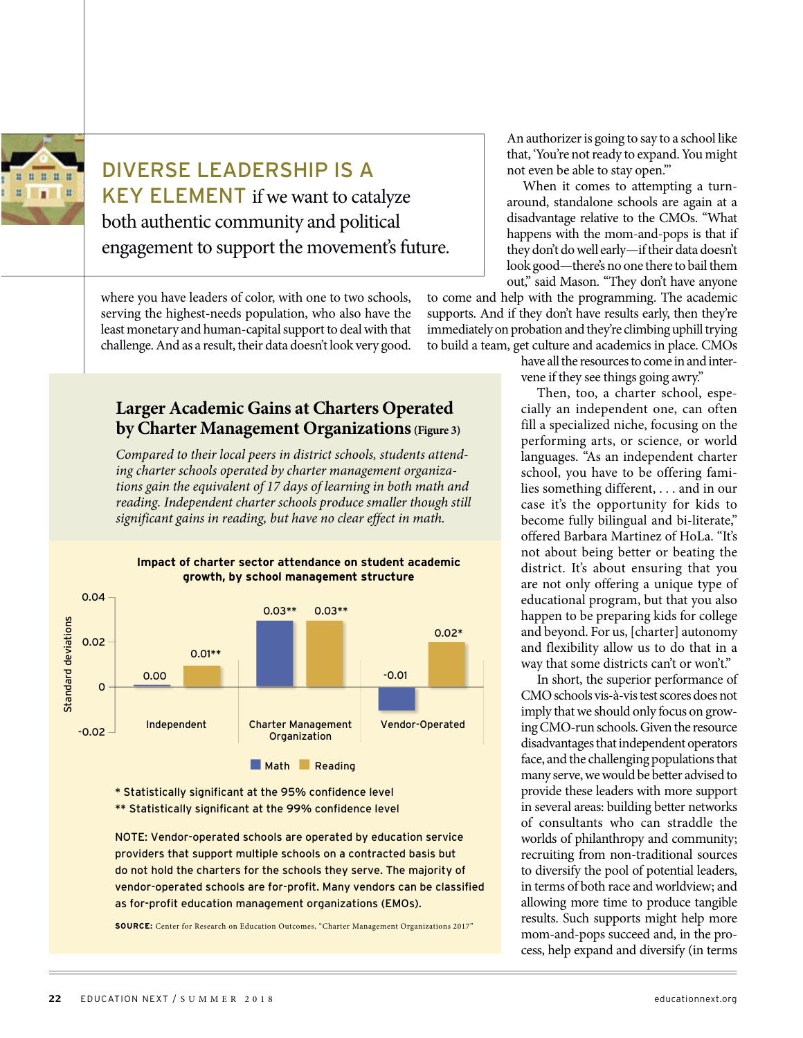

# DIVERSE LEADERSHIP IS A KEY ELEMENT if we want to catalyze both authentic community and political engagement to support the movement's future.

where you have leaders of color, with one to two schools, serving the highest-needs population, who also have the least monetary and human-capital support to deal with that challenge. And as a result, their data doesn't look very good.

# **Larger Academic Gains at Charters Operated by Charter Management Organizations** (Figure 3)

*Compared to their local peers in district schools, students attending charter schools operated by charter management organizations gain the equivalent of 17 days of learning in both math and reading. Independent charter schools produce smaller though still significant gains in reading, but have no clear effect in math.* 



**Impact of charter sector attendance on student academic growth, by school management structure**

\* Statistically significant at the 95% confidence level

\*\* Statistically significant at the 99% confidence level

NOTE: Vendor-operated schools are operated by education service providers that support multiple schools on a contracted basis but do not hold the charters for the schools they serve. The majority of vendor-operated schools are for-profit. Many vendors can be classified as for-profit education management organizations (EMOs).

**SOURCE:** Center for Research on Education Outcomes, "Charter Management Organizations 2017"

An authorizer is going to say to a school like that, 'You're not ready to expand. You might not even be able to stay open.'"

When it comes to attempting a turnaround, standalone schools are again at a disadvantage relative to the CMOs. "What happens with the mom-and-pops is that if they don't do well early—if their data doesn't look good—there's no one there to bail them out," said Mason. "They don't have anyone

to come and help with the programming. The academic supports. And if they don't have results early, then they're immediately on probation and they're climbing uphill trying to build a team, get culture and academics in place. CMOs

have all the resources to come in and intervene if they see things going awry."

Then, too, a charter school, especially an independent one, can often fill a specialized niche, focusing on the performing arts, or science, or world languages. "As an independent charter school, you have to be offering families something different, . . . and in our case it's the opportunity for kids to become fully bilingual and bi-literate," offered Barbara Martinez of HoLa. "It's not about being better or beating the district. It's about ensuring that you are not only offering a unique type of educational program, but that you also happen to be preparing kids for college and beyond. For us, [charter] autonomy and flexibility allow us to do that in a way that some districts can't or won't."

In short, the superior performance of CMO schools vis-à-vis test scores does not imply that we should only focus on growing CMO-run schools. Given the resource disadvantages that independent operators face, and the challenging populations that many serve, we would be better advised to provide these leaders with more support in several areas: building better networks of consultants who can straddle the worlds of philanthropy and community; recruiting from non-traditional sources to diversify the pool of potential leaders, in terms of both race and worldview; and allowing more time to produce tangible results. Such supports might help more mom-and-pops succeed and, in the process, help expand and diversify (in terms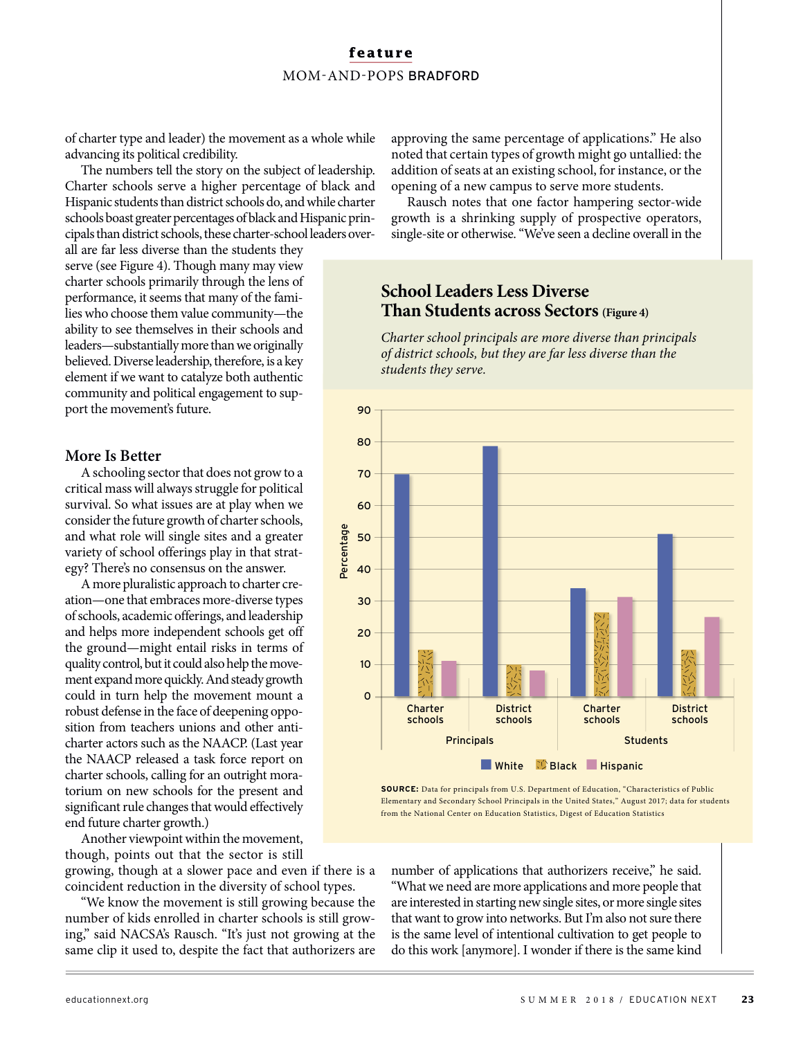of charter type and leader) the movement as a whole while advancing its political credibility.

The numbers tell the story on the subject of leadership. Charter schools serve a higher percentage of black and Hispanic students than district schools do, and while charter schools boast greater percentages of black and Hispanic principals than district schools, these charter-school leaders over-

all are far less diverse than the students they serve (see Figure 4). Though many may view charter schools primarily through the lens of performance, it seems that many of the families who choose them value community—the ability to see themselves in their schools and leaders—substantially more than we originally believed. Diverse leadership, therefore, is a key element if we want to catalyze both authentic community and political engagement to support the movement's future.

#### **More Is Better**

A schooling sector that does not grow to a critical mass will always struggle for political survival. So what issues are at play when we consider the future growth of charter schools, and what role will single sites and a greater variety of school offerings play in that strategy? There's no consensus on the answer.

A more pluralistic approach to charter creation—one that embraces more-diverse types of schools, academic offerings, and leadership and helps more independent schools get off the ground—might entail risks in terms of quality control, but it could also help the movement expand more quickly. And steady growth could in turn help the movement mount a robust defense in the face of deepening opposition from teachers unions and other anticharter actors such as the NAACP. (Last year the NAACP released a task force report on charter schools, calling for an outright moratorium on new schools for the present and significant rule changes that would effectively end future charter growth.)

Another viewpoint within the movement, though, points out that the sector is still

growing, though at a slower pace and even if there is a coincident reduction in the diversity of school types.

"We know the movement is still growing because the number of kids enrolled in charter schools is still growing," said NACSA's Rausch. "It's just not growing at the same clip it used to, despite the fact that authorizers are approving the same percentage of applications." He also noted that certain types of growth might go untallied: the addition of seats at an existing school, for instance, or the opening of a new campus to serve more students.

Rausch notes that one factor hampering sector-wide growth is a shrinking supply of prospective operators, single-site or otherwise. "We've seen a decline overall in the

## **School Leaders Less Diverse Than Students across Sectors (Figure 4)**

*Charter school principals are more diverse than principals of district schools, but they are far less diverse than the students they serve.*



**SOURCE:** Data for principals from U.S. Department of Education, "Characteristics of Public Elementary and Secondary School Principals in the United States," August 2017; data for students from the National Center on Education Statistics, Digest of Education Statistics

number of applications that authorizers receive," he said. "What we need are more applications and more people that are interested in starting new single sites, or more single sites that want to grow into networks. But I'm also not sure there is the same level of intentional cultivation to get people to do this work [anymore]. I wonder if there is the same kind